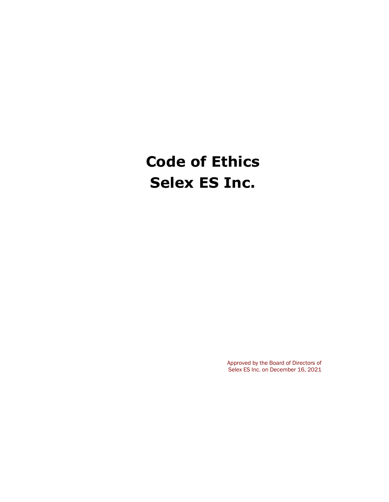# **Code of Ethics Selex ES Inc.**

Approved by the Board of Directors of Selex ES Inc. on December 16, 2021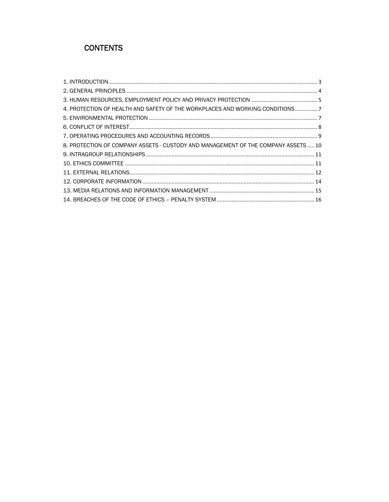## **CONTENTS**

| 4. PROTECTION OF HEALTH AND SAFETY OF THE WORKPLACES AND WORKING CONDITIONS7       |  |
|------------------------------------------------------------------------------------|--|
|                                                                                    |  |
|                                                                                    |  |
|                                                                                    |  |
| 8. PROTECTION OF COMPANY ASSETS - CUSTODY AND MANAGEMENT OF THE COMPANY ASSETS  10 |  |
|                                                                                    |  |
|                                                                                    |  |
|                                                                                    |  |
|                                                                                    |  |
|                                                                                    |  |
|                                                                                    |  |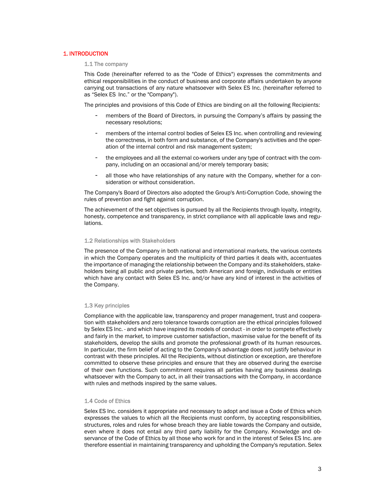## 1. INTRODUCTION

## 1.1 The company

This Code (hereinafter referred to as the "Code of Ethics") expresses the commitments and ethical responsibilities in the conduct of business and corporate affairs undertaken by anyone carrying out transactions of any nature whatsoever with Selex ES Inc. (hereinafter referred to as "Selex ES Inc." or the "Company").

The principles and provisions of this Code of Ethics are binding on all the following Recipients:

- members of the Board of Directors, in pursuing the Company's affairs by passing the necessary resolutions;
- members of the internal control bodies of Selex ES Inc. when controlling and reviewing the correctness, in both form and substance, of the Company's activities and the operation of the internal control and risk management system;
- the employees and all the external co-workers under any type of contract with the company, including on an occasional and/or merely temporary basis;
- all those who have relationships of any nature with the Company, whether for a consideration or without consideration.

The Company's Board of Directors also adopted the Group's Anti-Corruption Code, showing the rules of prevention and fight against corruption.

The achievement of the set objectives is pursued by all the Recipients through loyalty, integrity, honesty, competence and transparency, in strict compliance with all applicable laws and regulations.

## 1.2 Relationships with Stakeholders

The presence of the Company in both national and international markets, the various contexts in which the Company operates and the multiplicity of third parties it deals with, accentuates the importance of managing the relationship between the Company and its stakeholders, stakeholders being all public and private parties, both American and foreign, individuals or entities which have any contact with Selex ES Inc. and/or have any kind of interest in the activities of the Company.

## 1.3 Key principles

Compliance with the applicable law, transparency and proper management, trust and cooperation with stakeholders and zero tolerance towards corruption are the ethical principles followed by Selex ES Inc. - and which have inspired its models of conduct - in order to compete effectively and fairly in the market, to improve customer satisfaction, maximise value for the benefit of its stakeholders, develop the skills and promote the professional growth of its human resources. In particular, the firm belief of acting to the Company's advantage does not justify behaviour in contrast with these principles. All the Recipients, without distinction or exception, are therefore committed to observe these principles and ensure that they are observed during the exercise of their own functions. Such commitment requires all parties having any business dealings whatsoever with the Company to act, in all their transactions with the Company, in accordance with rules and methods inspired by the same values.

## 1.4 Code of Ethics

Selex ES Inc. considers it appropriate and necessary to adopt and issue a Code of Ethics which expresses the values to which all the Recipients must conform, by accepting responsibilities, structures, roles and rules for whose breach they are liable towards the Company and outside, even where it does not entail any third party liability for the Company. Knowledge and observance of the Code of Ethics by all those who work for and in the interest of Selex ES Inc. are therefore essential in maintaining transparency and upholding the Company's reputation. Selex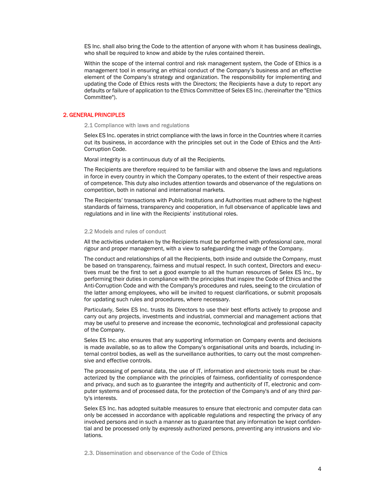ES Inc. shall also bring the Code to the attention of anyone with whom it has business dealings, who shall be required to know and abide by the rules contained therein.

Within the scope of the internal control and risk management system, the Code of Ethics is a management tool in ensuring an ethical conduct of the Company's business and an effective element of the Company's strategy and organization. The responsibility for implementing and updating the Code of Ethics rests with the Directors; the Recipients have a duty to report any defaults or failure of application to the Ethics Committee of Selex ES Inc. (hereinafter the "Ethics Committee").

## 2. GENERAL PRINCIPLES

2.1 Compliance with laws and regulations

Selex ES Inc. operates in strict compliance with the laws in force in the Countries where it carries out its business, in accordance with the principles set out in the Code of Ethics and the Anti-Corruption Code.

Moral integrity is a continuous duty of all the Recipients.

The Recipients are therefore required to be familiar with and observe the laws and regulations in force in every country in which the Company operates, to the extent of their respective areas of competence. This duty also includes attention towards and observance of the regulations on competition, both in national and international markets.

The Recipients' transactions with Public Institutions and Authorities must adhere to the highest standards of fairness, transparency and cooperation, in full observance of applicable laws and regulations and in line with the Recipients' institutional roles.

## 2.2 Models and rules of conduct

All the activities undertaken by the Recipients must be performed with professional care, moral rigour and proper management, with a view to safeguarding the image of the Company.

The conduct and relationships of all the Recipients, both inside and outside the Company, must be based on transparency, fairness and mutual respect. In such context, Directors and executives must be the first to set a good example to all the human resources of Selex ES Inc., by performing their duties in compliance with the principles that inspire the Code of Ethics and the Anti-Corruption Code and with the Company's procedures and rules, seeing to the circulation of the latter among employees, who will be invited to request clarifications, or submit proposals for updating such rules and procedures, where necessary.

Particularly, Selex ES Inc. trusts its Directors to use their best efforts actively to propose and carry out any projects, investments and industrial, commercial and management actions that may be useful to preserve and increase the economic, technological and professional capacity of the Company.

Selex ES Inc. also ensures that any supporting information on Company events and decisions is made available, so as to allow the Company's organisational units and boards, including internal control bodies, as well as the surveillance authorities, to carry out the most comprehensive and effective controls.

The processing of personal data, the use of IT, information and electronic tools must be characterized by the compliance with the principles of fairness, confidentiality of correspondence and privacy, and such as to guarantee the integrity and authenticity of IT, electronic and computer systems and of processed data, for the protection of the Company's and of any third party's interests.

Selex ES Inc. has adopted suitable measures to ensure that electronic and computer data can only be accessed in accordance with applicable regulations and respecting the privacy of any involved persons and in such a manner as to guarantee that any information be kept confidential and be processed only by expressly authorized persons, preventing any intrusions and violations.

2.3. Dissemination and observance of the Code of Ethics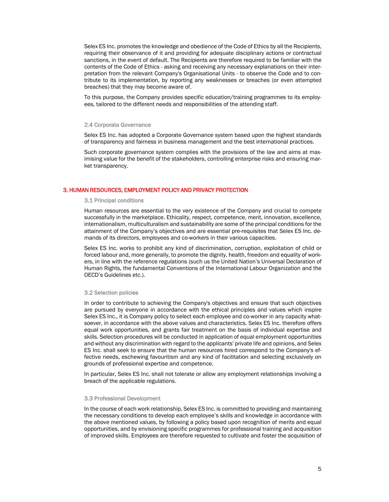Selex ES Inc. promotes the knowledge and obedience of the Code of Ethics by all the Recipients, requiring their observance of it and providing for adequate disciplinary actions or contractual sanctions, in the event of default. The Recipients are therefore required to be familiar with the contents of the Code of Ethics - asking and receiving any necessary explanations on their interpretation from the relevant Company's Organisational Units - to observe the Code and to contribute to its implementation, by reporting any weaknesses or breaches (or even attempted breaches) that they may become aware of.

To this purpose, the Company provides specific education/training programmes to its employees, tailored to the different needs and responsibilities of the attending staff.

## 2.4 Corporate Governance

Selex ES Inc. has adopted a Corporate Governance system based upon the highest standards of transparency and fairness in business management and the best international practices.

Such corporate governance system complies with the provisions of the law and aims at maximising value for the benefit of the stakeholders, controlling enterprise risks and ensuring market transparency.

#### 3. HUMAN RESOURCES, EMPLOYMENT POLICY AND PRIVACY PROTECTION

#### 3.1 Principal conditions

Human resources are essential to the very existence of the Company and crucial to compete successfully in the marketplace. Ethicality, respect, competence, merit, innovation, excellence, internationalism, multiculturalism and sustainability are some of the principal conditions for the attainment of the Company's objectives and are essential pre-requisites that Selex ES Inc. demands of its directors, employees and co-workers in their various capacities.

Selex ES Inc. works to prohibit any kind of discrimination, corruption, exploitation of child or forced labour and, more generally, to promote the dignity, health, freedom and equality of workers, in line with the reference regulations (such us the United Nation's Universal Declaration of Human Rights, the fundamental Conventions of the International Labour Organization and the OECD's Guidelines etc.).

#### 3.2 Selection policies

In order to contribute to achieving the Company's objectives and ensure that such objectives are pursued by everyone in accordance with the ethical principles and values which inspire Selex ES Inc., it is Company policy to select each employee and co-worker in any capacity whatsoever, in accordance with the above values and characteristics. Selex ES Inc. therefore offers equal work opportunities, and grants fair treatment on the basis of individual expertise and skills. Selection procedures will be conducted in application of equal employment opportunities and without any discrimination with regard to the applicants' private life and opinions, and Selex ES Inc. shall seek to ensure that the human resources hired correspond to the Company's effective needs, eschewing favouritism and any kind of facilitation and selecting exclusively on grounds of professional expertise and competence.

In particular, Selex ES Inc. shall not tolerate or allow any employment relationships involving a breach of the applicable regulations.

#### 3.3 Professional Development

In the course of each work relationship, Selex ES Inc. is committed to providing and maintaining the necessary conditions to develop each employee's skills and knowledge in accordance with the above mentioned values, by following a policy based upon recognition of merits and equal opportunities, and by envisioning specific programmes for professional training and acquisition of improved skills. Employees are therefore requested to cultivate and foster the acquisition of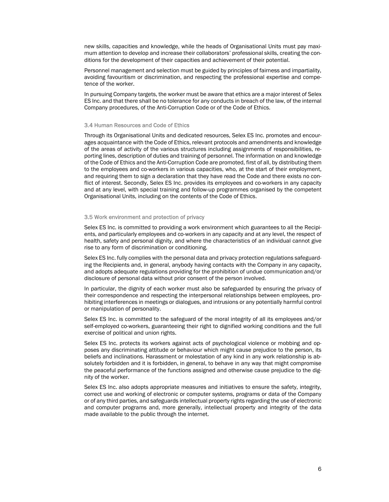new skills, capacities and knowledge, while the heads of Organisational Units must pay maximum attention to develop and increase their collaborators' professional skills, creating the conditions for the development of their capacities and achievement of their potential.

Personnel management and selection must be guided by principles of fairness and impartiality, avoiding favouritism or discrimination, and respecting the professional expertise and competence of the worker.

In pursuing Company targets, the worker must be aware that ethics are a major interest of Selex ES Inc. and that there shall be no tolerance for any conducts in breach of the law, of the internal Company procedures, of the Anti-Corruption Code or of the Code of Ethics.

## 3.4 Human Resources and Code of Ethics

Through its Organisational Units and dedicated resources, Selex ES Inc. promotes and encourages acquaintance with the Code of Ethics, relevant protocols and amendments and knowledge of the areas of activity of the various structures including assignments of responsibilities, reporting lines, description of duties and training of personnel. The information on and knowledge of the Code of Ethics and the Anti-Corruption Code are promoted, first of all, by distributing them to the employees and co-workers in various capacities, who, at the start of their employment, and requiring them to sign a declaration that they have read the Code and there exists no conflict of interest. Secondly, Selex ES Inc. provides its employees and co-workers in any capacity and at any level, with special training and follow-up programmes organised by the competent Organisational Units, including on the contents of the Code of Ethics.

#### 3.5 Work environment and protection of privacy

Selex ES Inc. is committed to providing a work environment which guarantees to all the Recipients, and particularly employees and co-workers in any capacity and at any level, the respect of health, safety and personal dignity, and where the characteristics of an individual cannot give rise to any form of discrimination or conditioning.

Selex ES Inc. fully complies with the personal data and privacy protection regulations safeguarding the Recipients and, in general, anybody having contacts with the Company in any capacity, and adopts adequate regulations providing for the prohibition of undue communication and/or disclosure of personal data without prior consent of the person involved.

In particular, the dignity of each worker must also be safeguarded by ensuring the privacy of their correspondence and respecting the interpersonal relationships between employees, prohibiting interferences in meetings or dialogues, and intrusions or any potentially harmful control or manipulation of personality.

Selex ES Inc. is committed to the safeguard of the moral integrity of all its employees and/or self-employed co-workers, guaranteeing their right to dignified working conditions and the full exercise of political and union rights.

Selex ES Inc. protects its workers against acts of psychological violence or mobbing and opposes any discriminating attitude or behaviour which might cause prejudice to the person, its beliefs and inclinations. Harassment or molestation of any kind in any work relationship is absolutely forbidden and it is forbidden, in general, to behave in any way that might compromise the peaceful performance of the functions assigned and otherwise cause prejudice to the dignity of the worker.

Selex ES Inc. also adopts appropriate measures and initiatives to ensure the safety, integrity, correct use and working of electronic or computer systems, programs or data of the Company or of any third parties, and safeguards intellectual property rights regarding the use of electronic and computer programs and, more generally, intellectual property and integrity of the data made available to the public through the internet.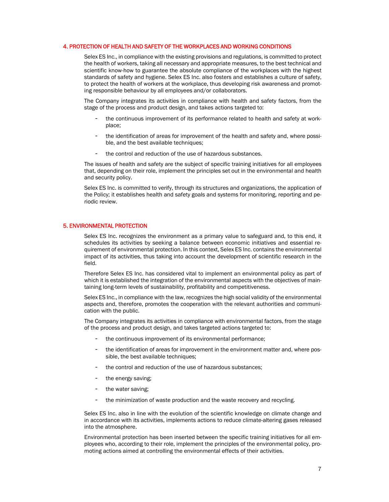## 4. PROTECTION OF HEALTH AND SAFETY OF THE WORKPLACES AND WORKING CONDITIONS

Selex ES Inc., in compliance with the existing provisions and regulations, is committed to protect the health of workers, taking all necessary and appropriate measures, to the best technical and scientific know-how to guarantee the absolute compliance of the workplaces with the highest standards of safety and hygiene. Selex ES Inc. also fosters and establishes a culture of safety, to protect the health of workers at the workplace, thus developing risk awareness and promoting responsible behaviour by all employees and/or collaborators.

The Company integrates its activities in compliance with health and safety factors, from the stage of the process and product design, and takes actions targeted to:

- the continuous improvement of its performance related to health and safety at workplace;
- the identification of areas for improvement of the health and safety and, where possible, and the best available techniques;
- the control and reduction of the use of hazardous substances.

The issues of health and safety are the subject of specific training initiatives for all employees that, depending on their role, implement the principles set out in the environmental and health and security policy.

Selex ES Inc. is committed to verify, through its structures and organizations, the application of the Policy; it establishes health and safety goals and systems for monitoring, reporting and periodic review.

## 5. ENVIRONMENTAL PROTECTION

Selex ES Inc. recognizes the environment as a primary value to safeguard and, to this end, it schedules its activities by seeking a balance between economic initiatives and essential requirement of environmental protection. In this context, Selex ES Inc. contains the environmental impact of its activities, thus taking into account the development of scientific research in the field.

Therefore Selex ES Inc. has considered vital to implement an environmental policy as part of which it is established the integration of the environmental aspects with the objectives of maintaining long-term levels of sustainability, profitability and competitiveness.

Selex ES Inc., in compliance with the law, recognizes the high social validity of the environmental aspects and, therefore, promotes the cooperation with the relevant authorities and communication with the public.

The Company integrates its activities in compliance with environmental factors, from the stage of the process and product design, and takes targeted actions targeted to:

- the continuous improvement of its environmental performance;
- the identification of areas for improvement in the environment matter and, where possible, the best available techniques;
- the control and reduction of the use of hazardous substances;
- the energy saving;
- the water saving;
- the minimization of waste production and the waste recovery and recycling.

Selex ES Inc. also in line with the evolution of the scientific knowledge on climate change and in accordance with its activities, implements actions to reduce climate-altering gases released into the atmosphere.

Environmental protection has been inserted between the specific training initiatives for all employees who, according to their role, implement the principles of the environmental policy, promoting actions aimed at controlling the environmental effects of their activities.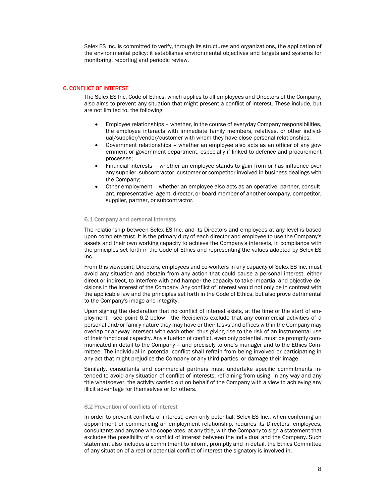Selex ES Inc. is committed to verify, through its structures and organizations, the application of the environmental policy; it establishes environmental objectives and targets and systems for monitoring, reporting and periodic review.

## 6. CONFLICT OF INTEREST

The Selex ES Inc. Code of Ethics, which applies to all employees and Directors of the Company, also aims to prevent any situation that might present a conflict of interest. These include, but are not limited to, the following:

- Employee relationships whether, in the course of everyday Company responsibilities, the employee interacts with immediate family members, relatives, or other individual/supplier/vendor/customer with whom they have close personal relationships;
- Government relationships whether an employee also acts as an officer of any government or government department, especially if linked to defence and procurement processes;
- Financial interests whether an employee stands to gain from or has influence over any supplier, subcontractor, customer or competitor involved in business dealings with the Company;
- Other employment whether an employee also acts as an operative, partner, consultant, representative, agent, director, or board member of another company, competitor, supplier, partner, or subcontractor.

## 6.1 Company and personal interests

The relationship between Selex ES Inc. and its Directors and employees at any level is based upon complete trust. It is the primary duty of each director and employee to use the Company's assets and their own working capacity to achieve the Company's interests, in compliance with the principles set forth in the Code of Ethics and representing the values adopted by Selex ES Inc.

From this viewpoint, Directors, employees and co-workers in any capacity of Selex ES Inc. must avoid any situation and abstain from any action that could cause a personal interest, either direct or indirect, to interfere with and hamper the capacity to take impartial and objective decisions in the interest of the Company. Any conflict of interest would not only be in contrast with the applicable law and the principles set forth in the Code of Ethics, but also prove detrimental to the Company's image and integrity.

Upon signing the declaration that no conflict of interest exists, at the time of the start of employment - see point 6.2 below - the Recipients exclude that any commercial activities of a personal and/or family nature they may have or their tasks and offices within the Company may overlap or anyway intersect with each other, thus giving rise to the risk of an instrumental use of their functional capacity. Any situation of conflict, even only potential, must be promptly communicated in detail to the Company – and precisely to one's manager and to the Ethics Committee. The individual in potential conflict shall refrain from being involved or participating in any act that might prejudice the Company or any third parties, or damage their image.

Similarly, consultants and commercial partners must undertake specific commitments intended to avoid any situation of conflict of interests, refraining from using, in any way and any title whatsoever, the activity carried out on behalf of the Company with a view to achieving any illicit advantage for themselves or for others.

## 6.2 Prevention of conflicts of interest

In order to prevent conflicts of interest, even only potential, Selex ES Inc., when conferring an appointment or commencing an employment relationship, requires its Directors, employees, consultants and anyone who cooperates, at any title, with the Company to sign a statement that excludes the possibility of a conflict of interest between the individual and the Company. Such statement also includes a commitment to inform, promptly and in detail, the Ethics Committee of any situation of a real or potential conflict of interest the signatory is involved in.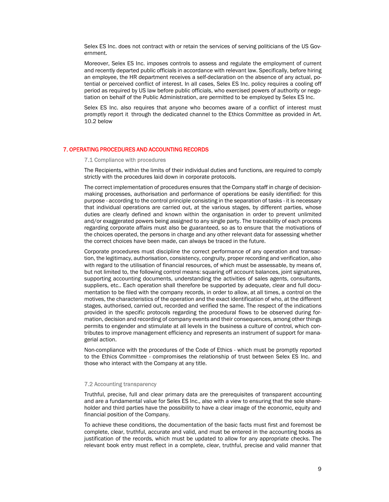Selex ES Inc. does not contract with or retain the services of serving politicians of the US Government.

Moreover, Selex ES Inc. imposes controls to assess and regulate the employment of current and recently departed public officials in accordance with relevant law. Specifically, before hiring an employee, the HR department receives a self-declaration on the absence of any actual, potential or perceived conflict of interest. In all cases, Selex ES Inc. policy requires a cooling off period as required by US law before public officials, who exercised powers of authority or negotiation on behalf of the Public Administration, are permitted to be employed by Selex ES Inc.

Selex ES Inc. also requires that anyone who becomes aware of a conflict of interest must promptly report it through the dedicated channel to the Ethics Committee as provided in Art. 10.2 below

## 7. OPERATING PROCEDURES AND ACCOUNTING RECORDS

7.1 Compliance with procedures

The Recipients, within the limits of their individual duties and functions, are required to comply strictly with the procedures laid down in corporate protocols.

The correct implementation of procedures ensures that the Company staff in charge of decisionmaking processes, authorisation and performance of operations be easily identified: for this purpose - according to the control principle consisting in the separation of tasks - it is necessary that individual operations are carried out, at the various stages, by different parties, whose duties are clearly defined and known within the organisation in order to prevent unlimited and/or exaggerated powers being assigned to any single party. The traceability of each process regarding corporate affairs must also be guaranteed, so as to ensure that the motivations of the choices operated, the persons in charge and any other relevant data for assessing whether the correct choices have been made, can always be traced in the future.

Corporate procedures must discipline the correct performance of any operation and transaction, the legitimacy, authorisation, consistency, congruity, proper recording and verification, also with regard to the utilisation of financial resources, of which must be assessable, by means of, but not limited to, the following control means: squaring off account balances, joint signatures, supporting accounting documents, understanding the activities of sales agents, consultants, suppliers, etc.. Each operation shall therefore be supported by adequate, clear and full documentation to be filed with the company records, in order to allow, at all times, a control on the motives, the characteristics of the operation and the exact identification of who, at the different stages, authorised, carried out, recorded and verified the same. The respect of the indications provided in the specific protocols regarding the procedural flows to be observed during formation, decision and recording of company events and their consequences, among other things permits to engender and stimulate at all levels in the business a culture of control, which contributes to improve management efficiency and represents an instrument of support for managerial action.

Non-compliance with the procedures of the Code of Ethics - which must be promptly reported to the Ethics Committee - compromises the relationship of trust between Selex ES Inc. and those who interact with the Company at any title.

## 7.2 Accounting transparency

Truthful, precise, full and clear primary data are the prerequisites of transparent accounting and are a fundamental value for Selex ES Inc., also with a view to ensuring that the sole shareholder and third parties have the possibility to have a clear image of the economic, equity and financial position of the Company.

To achieve these conditions, the documentation of the basic facts must first and foremost be complete, clear, truthful, accurate and valid, and must be entered in the accounting books as justification of the records, which must be updated to allow for any appropriate checks. The relevant book entry must reflect in a complete, clear, truthful, precise and valid manner that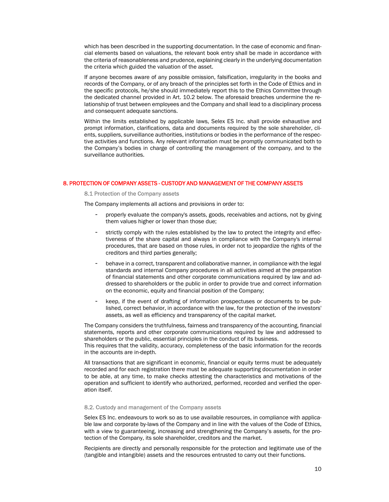which has been described in the supporting documentation. In the case of economic and financial elements based on valuations, the relevant book entry shall be made in accordance with the criteria of reasonableness and prudence, explaining clearly in the underlying documentation the criteria which guided the valuation of the asset.

If anyone becomes aware of any possible omission, falsification, irregularity in the books and records of the Company, or of any breach of the principles set forth in the Code of Ethics and in the specific protocols, he/she should immediately report this to the Ethics Committee through the dedicated channel provided in Art. 10.2 below. The aforesaid breaches undermine the relationship of trust between employees and the Company and shall lead to a disciplinary process and consequent adequate sanctions.

Within the limits established by applicable laws, Selex ES Inc. shall provide exhaustive and prompt information, clarifications, data and documents required by the sole shareholder, clients, suppliers, surveillance authorities, institutions or bodies in the performance of the respective activities and functions. Any relevant information must be promptly communicated both to the Company's bodies in charge of controlling the management of the company, and to the surveillance authorities.

## 8. PROTECTION OF COMPANY ASSETS - CUSTODY AND MANAGEMENT OF THE COMPANY ASSETS

8.1 Protection of the Company assets

The Company implements all actions and provisions in order to:

- properly evaluate the company's assets, goods, receivables and actions, not by giving them values higher or lower than those due;
- strictly comply with the rules established by the law to protect the integrity and effectiveness of the share capital and always in compliance with the Company's internal procedures, that are based on those rules, in order not to jeopardize the rights of the creditors and third parties generally;
- behave in a correct, transparent and collaborative manner, in compliance with the legal standards and internal Company procedures in all activities aimed at the preparation of financial statements and other corporate communications required by law and addressed to shareholders or the public in order to provide true and correct information on the economic, equity and financial position of the Company;
- keep, if the event of drafting of information prospectuses or documents to be published, correct behavior, in accordance with the law, for the protection of the investors' assets, as well as efficiency and transparency of the capital market.

The Company considers the truthfulness, fairness and transparency of the accounting, financial statements, reports and other corporate communications required by law and addressed to shareholders or the public, essential principles in the conduct of its business.

This requires that the validity, accuracy, completeness of the basic information for the records in the accounts are in-depth.

All transactions that are significant in economic, financial or equity terms must be adequately recorded and for each registration there must be adequate supporting documentation in order to be able, at any time, to make checks attesting the characteristics and motivations of the operation and sufficient to identify who authorized, performed, recorded and verified the operation itself.

## 8.2. Custody and management of the Company assets

Selex ES Inc. endeavours to work so as to use available resources, in compliance with applicable law and corporate by-laws of the Company and in line with the values of the Code of Ethics, with a view to guaranteeing, increasing and strengthening the Company's assets, for the protection of the Company, its sole shareholder, creditors and the market.

Recipients are directly and personally responsible for the protection and legitimate use of the (tangible and intangible) assets and the resources entrusted to carry out their functions.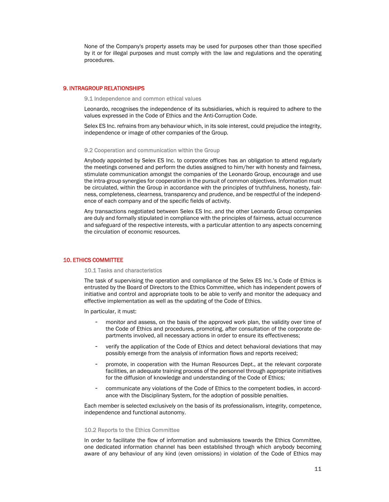None of the Company's property assets may be used for purposes other than those specified by it or for illegal purposes and must comply with the law and regulations and the operating procedures.

## 9. INTRAGROUP RELATIONSHIPS

9.1 Independence and common ethical values

Leonardo, recognises the independence of its subsidiaries, which is required to adhere to the values expressed in the Code of Ethics and the Anti-Corruption Code.

Selex ES Inc. refrains from any behaviour which, in its sole interest, could prejudice the integrity, independence or image of other companies of the Group.

## 9.2 Cooperation and communication within the Group

Anybody appointed by Selex ES Inc. to corporate offices has an obligation to attend regularly the meetings convened and perform the duties assigned to him/her with honesty and fairness, stimulate communication amongst the companies of the Leonardo Group, encourage and use the intra-group synergies for cooperation in the pursuit of common objectives. Information must be circulated, within the Group in accordance with the principles of truthfulness, honesty, fairness, completeness, clearness, transparency and prudence, and be respectful of the independence of each company and of the specific fields of activity.

Any transactions negotiated between Selex ES Inc. and the other Leonardo Group companies are duly and formally stipulated in compliance with the principles of fairness, actual occurrence and safeguard of the respective interests, with a particular attention to any aspects concerning the circulation of economic resources.

## 10. ETHICS COMMITTEE

#### 10.1 Tasks and characteristics

The task of supervising the operation and compliance of the Selex ES Inc.'s Code of Ethics is entrusted by the Board of Directors to the Ethics Committee, which has independent powers of initiative and control and appropriate tools to be able to verify and monitor the adequacy and effective implementation as well as the updating of the Code of Ethics.

In particular, it must:

- monitor and assess, on the basis of the approved work plan, the validity over time of the Code of Ethics and procedures, promoting, after consultation of the corporate departments involved, all necessary actions in order to ensure its effectiveness;
- verify the application of the Code of Ethics and detect behavioral deviations that may possibly emerge from the analysis of information flows and reports received;
- promote, in cooperation with the Human Resources Dept., at the relevant corporate facilities, an adequate training process of the personnel through appropriate initiatives for the diffusion of knowledge and understanding of the Code of Ethics;
- communicate any violations of the Code of Ethics to the competent bodies, in accordance with the Disciplinary System, for the adoption of possible penalties.

Each member is selected exclusively on the basis of its professionalism, integrity, competence, independence and functional autonomy.

#### 10.2 Reports to the Ethics Committee

In order to facilitate the flow of information and submissions towards the Ethics Committee, one dedicated information channel has been established through which anybody becoming aware of any behaviour of any kind (even omissions) in violation of the Code of Ethics may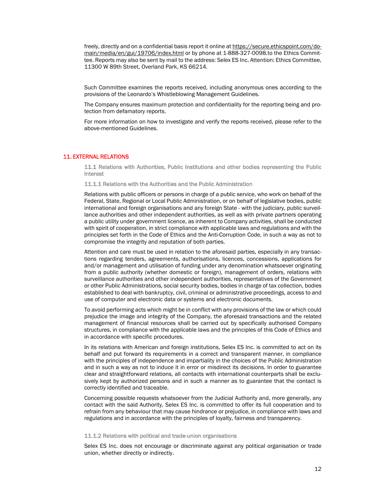freely, directly and on a confidential basis report it online at https://secure.ethicspoint.com/domain/media/en/gui/19706/index.html or by phone at 1-888-327-0098.to the Ethics Committee. Reports may also be sent by mail to the address: Selex ES Inc. Attention: Ethics Committee, 11300 W 89th Street, Overland Park, KS 66214.

Such Committee examines the reports received, including anonymous ones according to the provisions of the Leonardo's Whistleblowing Management Guidelines.

The Company ensures maximum protection and confidentiality for the reporting being and protection from defamatory reports.

For more information on how to investigate and verify the reports received, please refer to the above-mentioned Guidelines.

## 11. EXTERNAL RELATIONS

11.1 Relations with Authorities, Public Institutions and other bodies representing the Public **Interest** 

11.1.1 Relations with the Authorities and the Public Administration

Relations with public officers or persons in charge of a public service, who work on behalf of the Federal, State, Regional or Local Public Administration, or on behalf of legislative bodies, public international and foreign organisations and any foreign State - with the judiciary, public surveillance authorities and other independent authorities, as well as with private partners operating a public utility under government licence, as inherent to Company activities, shall be conducted with spirit of cooperation, in strict compliance with applicable laws and regulations and with the principles set forth in the Code of Ethics and the Anti-Corruption Code, in such a way as not to compromise the integrity and reputation of both parties.

Attention and care must be used in relation to the aforesaid parties, especially in any transactions regarding tenders, agreements, authorisations, licences, concessions, applications for and/or management and utilisation of funding under any denomination whatsoever originating from a public authority (whether domestic or foreign), management of orders, relations with surveillance authorities and other independent authorities, representatives of the Government or other Public Administrations, social security bodies, bodies in charge of tax collection, bodies established to deal with bankruptcy, civil, criminal or administrative proceedings, access to and use of computer and electronic data or systems and electronic documents.

To avoid performing acts which might be in conflict with any provisions of the law or which could prejudice the image and integrity of the Company, the aforesaid transactions and the related management of financial resources shall be carried out by specifically authorised Company structures, in compliance with the applicable laws and the principles of this Code of Ethics and in accordance with specific procedures.

In its relations with American and foreign institutions, Selex ES Inc. is committed to act on its behalf and put forward its requirements in a correct and transparent manner, in compliance with the principles of independence and impartiality in the choices of the Public Administration and in such a way as not to induce it in error or misdirect its decisions. In order to guarantee clear and straightforward relations, all contacts with international counterparts shall be exclusively kept by authorized persons and in such a manner as to guarantee that the contact is correctly identified and traceable.

Concerning possible requests whatsoever from the Judicial Authority and, more generally, any contact with the said Authority, Selex ES Inc. is committed to offer its full cooperation and to refrain from any behaviour that may cause hindrance or prejudice, in compliance with laws and regulations and in accordance with the principles of loyalty, fairness and transparency.

## 11.1.2 Relations with political and trade-union organisations

Selex ES Inc. does not encourage or discriminate against any political organisation or trade union, whether directly or indirectly.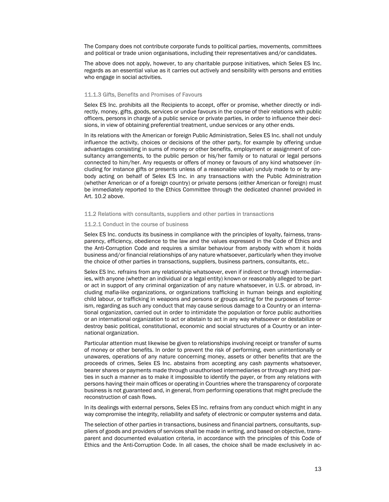The Company does not contribute corporate funds to political parties, movements, committees and political or trade union organisations, including their representatives and/or candidates.

The above does not apply, however, to any charitable purpose initiatives, which Selex ES Inc. regards as an essential value as it carries out actively and sensibility with persons and entities who engage in social activities.

## 11.1.3 Gifts, Benefits and Promises of Favours

Selex ES Inc. prohibits all the Recipients to accept, offer or promise, whether directly or indirectly, money, gifts, goods, services or undue favours in the course of their relations with public officers, persons in charge of a public service or private parties, in order to influence their decisions, in view of obtaining preferential treatment, undue services or any other ends.

In its relations with the American or foreign Public Administration, Selex ES Inc. shall not unduly influence the activity, choices or decisions of the other party, for example by offering undue advantages consisting in sums of money or other benefits, employment or assignment of consultancy arrangements, to the public person or his/her family or to natural or legal persons connected to him/her. Any requests or offers of money or favours of any kind whatsoever (including for instance gifts or presents unless of a reasonable value) unduly made to or by anybody acting on behalf of Selex ES Inc. in any transactions with the Public Administration (whether American or of a foreign country) or private persons (either American or foreign) must be immediately reported to the Ethics Committee through the dedicated channel provided in Art. 10.2 above.

11.2 Relations with consultants, suppliers and other parties in transactions

#### 11.2.1 Conduct in the course of business

Selex ES Inc. conducts its business in compliance with the principles of loyalty, fairness, transparency, efficiency, obedience to the law and the values expressed in the Code of Ethics and the Anti-Corruption Code and requires a similar behaviour from anybody with whom it holds business and/or financial relationships of any nature whatsoever, particularly when they involve the choice of other parties in transactions, suppliers, business partners, consultants, etc..

Selex ES Inc. refrains from any relationship whatsoever, even if indirect or through intermediaries, with anyone (whether an individual or a legal entity) known or reasonably alleged to be part or act in support of any criminal organization of any nature whatsoever, in U.S. or abroad, including mafia-like organizations, or organizations trafficking in human beings and exploiting child labour, or trafficking in weapons and persons or groups acting for the purposes of terrorism, regarding as such any conduct that may cause serious damage to a Country or an international organization, carried out in order to intimidate the population or force public authorities or an international organization to act or abstain to act in any way whatsoever or destabilize or destroy basic political, constitutional, economic and social structures of a Country or an international organization.

Particular attention must likewise be given to relationships involving receipt or transfer of sums of money or other benefits. In order to prevent the risk of performing, even unintentionally or unawares, operations of any nature concerning money, assets or other benefits that are the proceeds of crimes, Selex ES Inc. abstains from accepting any cash payments whatsoever, bearer shares or payments made through unauthorised intermediaries or through any third parties in such a manner as to make it impossible to identify the payer, or from any relations with persons having their main offices or operating in Countries where the transparency of corporate business is not guaranteed and, in general, from performing operations that might preclude the reconstruction of cash flows.

In its dealings with external persons, Selex ES Inc. refrains from any conduct which might in any way compromise the integrity, reliability and safety of electronic or computer systems and data.

The selection of other parties in transactions, business and financial partners, consultants, suppliers of goods and providers of services shall be made in writing, and based on objective, transparent and documented evaluation criteria, in accordance with the principles of this Code of Ethics and the Anti-Corruption Code. In all cases, the choice shall be made exclusively in ac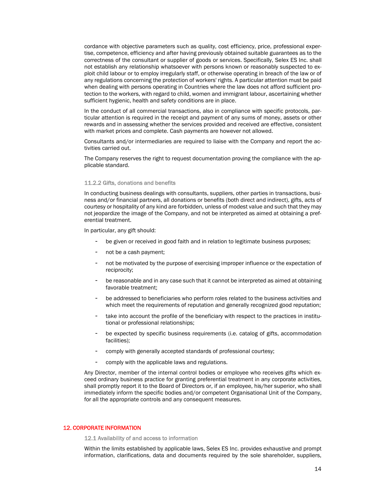cordance with objective parameters such as quality, cost efficiency, price, professional expertise, competence, efficiency and after having previously obtained suitable guarantees as to the correctness of the consultant or supplier of goods or services. Specifically, Selex ES Inc. shall not establish any relationship whatsoever with persons known or reasonably suspected to exploit child labour or to employ irregularly staff, or otherwise operating in breach of the law or of any regulations concerning the protection of workers' rights. A particular attention must be paid when dealing with persons operating in Countries where the law does not afford sufficient protection to the workers, with regard to child, women and immigrant labour, ascertaining whether sufficient hygienic, health and safety conditions are in place.

In the conduct of all commercial transactions, also in compliance with specific protocols, particular attention is required in the receipt and payment of any sums of money, assets or other rewards and in assessing whether the services provided and received are effective, consistent with market prices and complete. Cash payments are however not allowed.

Consultants and/or intermediaries are required to liaise with the Company and report the activities carried out.

The Company reserves the right to request documentation proving the compliance with the applicable standard.

## 11.2.2 Gifts, donations and benefits

In conducting business dealings with consultants, suppliers, other parties in transactions, business and/or financial partners, all donations or benefits (both direct and indirect), gifts, acts of courtesy or hospitality of any kind are forbidden, unless of modest value and such that they may not jeopardize the image of the Company, and not be interpreted as aimed at obtaining a preferential treatment.

In particular, any gift should:

- be given or received in good faith and in relation to legitimate business purposes;
- not be a cash payment;
- not be motivated by the purpose of exercising improper influence or the expectation of reciprocity;
- be reasonable and in any case such that it cannot be interpreted as aimed at obtaining favorable treatment;
- be addressed to beneficiaries who perform roles related to the business activities and which meet the requirements of reputation and generally recognized good reputation;
- take into account the profile of the beneficiary with respect to the practices in institutional or professional relationships;
- be expected by specific business requirements (i.e. catalog of gifts, accommodation facilities);
- comply with generally accepted standards of professional courtesy;
- comply with the applicable laws and regulations.

Any Director, member of the internal control bodies or employee who receives gifts which exceed ordinary business practice for granting preferential treatment in any corporate activities, shall promptly report it to the Board of Directors or, if an employee, his/her superior, who shall immediately inform the specific bodies and/or competent Organisational Unit of the Company, for all the appropriate controls and any consequent measures.

## 12. CORPORATE INFORMATION

12.1 Availability of and access to information

Within the limits established by applicable laws, Selex ES Inc. provides exhaustive and prompt information, clarifications, data and documents required by the sole shareholder, suppliers,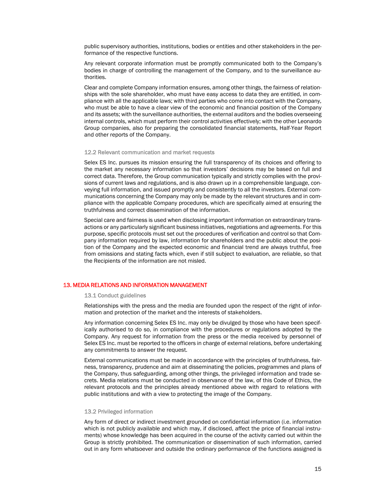public supervisory authorities, institutions, bodies or entities and other stakeholders in the performance of the respective functions.

Any relevant corporate information must be promptly communicated both to the Company's bodies in charge of controlling the management of the Company, and to the surveillance authorities.

Clear and complete Company information ensures, among other things, the fairness of relationships with the sole shareholder, who must have easy access to data they are entitled, in compliance with all the applicable laws; with third parties who come into contact with the Company, who must be able to have a clear view of the economic and financial position of the Company and its assets; with the surveillance authorities, the external auditors and the bodies overseeing internal controls, which must perform their control activities effectively; with the other Leonardo Group companies, also for preparing the consolidated financial statements, Half-Year Report and other reports of the Company.

#### 12.2 Relevant communication and market requests

Selex ES Inc. pursues its mission ensuring the full transparency of its choices and offering to the market any necessary information so that investors' decisions may be based on full and correct data. Therefore, the Group communication typically and strictly complies with the provisions of current laws and regulations, and is also drawn up in a comprehensible language, conveying full information, and issued promptly and consistently to all the investors. External communications concerning the Company may only be made by the relevant structures and in compliance with the applicable Company procedures, which are specifically aimed at ensuring the truthfulness and correct dissemination of the information.

Special care and fairness is used when disclosing important information on extraordinary transactions or any particularly significant business initiatives, negotiations and agreements. For this purpose, specific protocols must set out the procedures of verification and control so that Company information required by law, information for shareholders and the public about the position of the Company and the expected economic and financial trend are always truthful, free from omissions and stating facts which, even if still subject to evaluation, are reliable, so that the Recipients of the information are not misled.

## 13. MEDIA RELATIONS AND INFORMATION MANAGEMENT

#### 13.1 Conduct guidelines

Relationships with the press and the media are founded upon the respect of the right of information and protection of the market and the interests of stakeholders.

Any information concerning Selex ES Inc. may only be divulged by those who have been specifically authorised to do so, in compliance with the procedures or regulations adopted by the Company. Any request for information from the press or the media received by personnel of Selex ES Inc. must be reported to the officers in charge of external relations, before undertaking any commitments to answer the request.

External communications must be made in accordance with the principles of truthfulness, fairness, transparency, prudence and aim at disseminating the policies, programmes and plans of the Company, thus safeguarding, among other things, the privileged information and trade secrets. Media relations must be conducted in observance of the law, of this Code of Ethics, the relevant protocols and the principles already mentioned above with regard to relations with public institutions and with a view to protecting the image of the Company.

#### 13.2 Privileged information

Any form of direct or indirect investment grounded on confidential information (i.e. information which is not publicly available and which may, if disclosed, affect the price of financial instruments) whose knowledge has been acquired in the course of the activity carried out within the Group is strictly prohibited. The communication or dissemination of such information, carried out in any form whatsoever and outside the ordinary performance of the functions assigned is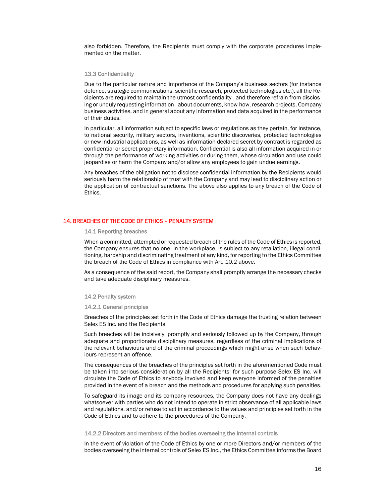also forbidden. Therefore, the Recipients must comply with the corporate procedures implemented on the matter.

## 13.3 Confidentiality

Due to the particular nature and importance of the Company's business sectors (for instance defence, strategic communications, scientific research, protected technologies etc.), all the Recipients are required to maintain the utmost confidentiality - and therefore refrain from disclosing or unduly requesting information - about documents, know-how, research projects, Company business activities, and in general about any information and data acquired in the performance of their duties.

In particular, all information subject to specific laws or regulations as they pertain, for instance, to national security, military sectors, inventions, scientific discoveries, protected technologies or new industrial applications, as well as information declared secret by contract is regarded as confidential or secret proprietary information. Confidential is also all information acquired in or through the performance of working activities or during them, whose circulation and use could jeopardise or harm the Company and/or allow any employees to gain undue earnings.

Any breaches of the obligation not to disclose confidential information by the Recipients would seriously harm the relationship of trust with the Company and may lead to disciplinary action or the application of contractual sanctions. The above also applies to any breach of the Code of Ethics.

## 14. BREACHES OF THE CODE OF ETHICS – PENALTY SYSTEM

14.1 Reporting breaches

When a committed, attempted or requested breach of the rules of the Code of Ethics is reported, the Company ensures that no-one, in the workplace, is subject to any retaliation, illegal conditioning, hardship and discriminating treatment of any kind, for reporting to the Ethics Committee the breach of the Code of Ethics in compliance with Art. 10.2 above.

As a consequence of the said report, the Company shall promptly arrange the necessary checks and take adequate disciplinary measures.

#### 14.2 Penalty system

14.2.1 General principles

Breaches of the principles set forth in the Code of Ethics damage the trusting relation between Selex ES Inc. and the Recipients.

Such breaches will be incisively, promptly and seriously followed up by the Company, through adequate and proportionate disciplinary measures, regardless of the criminal implications of the relevant behaviours and of the criminal proceedings which might arise when such behaviours represent an offence.

The consequences of the breaches of the principles set forth in the aforementioned Code must be taken into serious consideration by all the Recipients: for such purpose Selex ES Inc. will circulate the Code of Ethics to anybody involved and keep everyone informed of the penalties provided in the event of a breach and the methods and procedures for applying such penalties.

To safeguard its image and its company resources, the Company does not have any dealings whatsoever with parties who do not intend to operate in strict observance of all applicable laws and regulations, and/or refuse to act in accordance to the values and principles set forth in the Code of Ethics and to adhere to the procedures of the Company.

#### 14.2.2 Directors and members of the bodies overseeing the internal controls

In the event of violation of the Code of Ethics by one or more Directors and/or members of the bodies overseeing the internal controls of Selex ES Inc., the Ethics Committee informs the Board